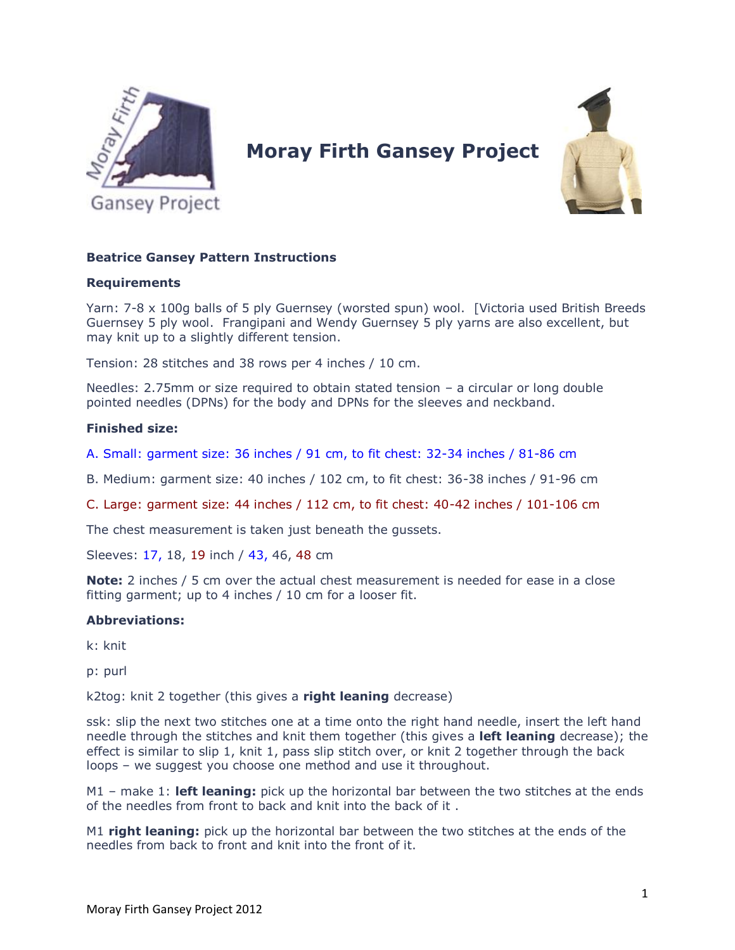

# **Moray Firth Gansey Project**



## **Beatrice Gansey Pattern Instructions**

#### **Requirements**

Yarn: 7-8 x 100g balls of 5 ply Guernsey (worsted spun) wool. [Victoria used British Breeds Guernsey 5 ply wool. Frangipani and Wendy Guernsey 5 ply yarns are also excellent, but may knit up to a slightly different tension.

Tension: 28 stitches and 38 rows per 4 inches / 10 cm.

Needles: 2.75mm or size required to obtain stated tension – a circular or long double pointed needles (DPNs) for the body and DPNs for the sleeves and neckband.

### **Finished size:**

A. Small: garment size: 36 inches / 91 cm, to fit chest: 32-34 inches / 81-86 cm

B. Medium: garment size: 40 inches / 102 cm, to fit chest: 36-38 inches / 91-96 cm

C. Large: garment size: 44 inches / 112 cm, to fit chest: 40-42 inches / 101-106 cm

The chest measurement is taken just beneath the gussets.

Sleeves: 17, 18, 19 inch / 43, 46, 48 cm

**Note:** 2 inches / 5 cm over the actual chest measurement is needed for ease in a close fitting garment; up to 4 inches / 10 cm for a looser fit.

## **Abbreviations:**

k: knit

p: purl

k2tog: knit 2 together (this gives a **right leaning** decrease)

ssk: slip the next two stitches one at a time onto the right hand needle, insert the left hand needle through the stitches and knit them together (this gives a **left leaning** decrease); the effect is similar to slip 1, knit 1, pass slip stitch over, or knit 2 together through the back loops – we suggest you choose one method and use it throughout.

M1 – make 1: **left leaning:** pick up the horizontal bar between the two stitches at the ends of the needles from front to back and knit into the back of it .

M1 **right leaning:** pick up the horizontal bar between the two stitches at the ends of the needles from back to front and knit into the front of it.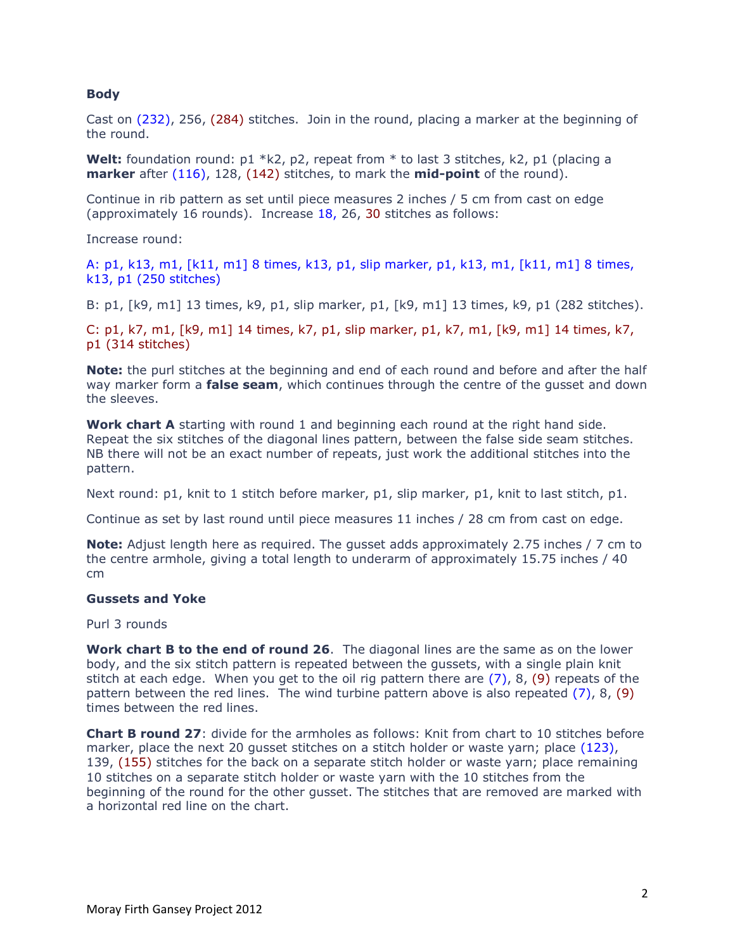#### **Body**

Cast on (232), 256, (284) stitches. Join in the round, placing a marker at the beginning of the round.

**Welt:** foundation round: p1 \*k2, p2, repeat from \* to last 3 stitches, k2, p1 (placing a **marker** after (116), 128, (142) stitches, to mark the **mid-point** of the round).

Continue in rib pattern as set until piece measures 2 inches / 5 cm from cast on edge (approximately 16 rounds). Increase 18, 26, 30 stitches as follows:

Increase round:

A: p1, k13, m1, [k11, m1] 8 times, k13, p1, slip marker, p1, k13, m1, [k11, m1] 8 times, k13, p1 (250 stitches)

B: p1, [k9, m1] 13 times, k9, p1, slip marker, p1, [k9, m1] 13 times, k9, p1 (282 stitches).

C: p1, k7, m1, [k9, m1] 14 times, k7, p1, slip marker, p1, k7, m1, [k9, m1] 14 times, k7, p1 (314 stitches)

**Note:** the purl stitches at the beginning and end of each round and before and after the half way marker form a **false seam**, which continues through the centre of the gusset and down the sleeves.

**Work chart A** starting with round 1 and beginning each round at the right hand side. Repeat the six stitches of the diagonal lines pattern, between the false side seam stitches. NB there will not be an exact number of repeats, just work the additional stitches into the pattern.

Next round: p1, knit to 1 stitch before marker, p1, slip marker, p1, knit to last stitch, p1.

Continue as set by last round until piece measures 11 inches / 28 cm from cast on edge.

**Note:** Adjust length here as required. The gusset adds approximately 2.75 inches / 7 cm to the centre armhole, giving a total length to underarm of approximately 15.75 inches / 40 cm

#### **Gussets and Yoke**

Purl 3 rounds

**Work chart B to the end of round 26**. The diagonal lines are the same as on the lower body, and the six stitch pattern is repeated between the gussets, with a single plain knit stitch at each edge. When you get to the oil rig pattern there are  $(7)$ , 8,  $(9)$  repeats of the pattern between the red lines. The wind turbine pattern above is also repeated (7), 8, (9) times between the red lines.

**Chart B round 27**: divide for the armholes as follows: Knit from chart to 10 stitches before marker, place the next 20 qusset stitches on a stitch holder or waste yarn; place (123), 139, (155) stitches for the back on a separate stitch holder or waste yarn; place remaining 10 stitches on a separate stitch holder or waste yarn with the 10 stitches from the beginning of the round for the other gusset. The stitches that are removed are marked with a horizontal red line on the chart.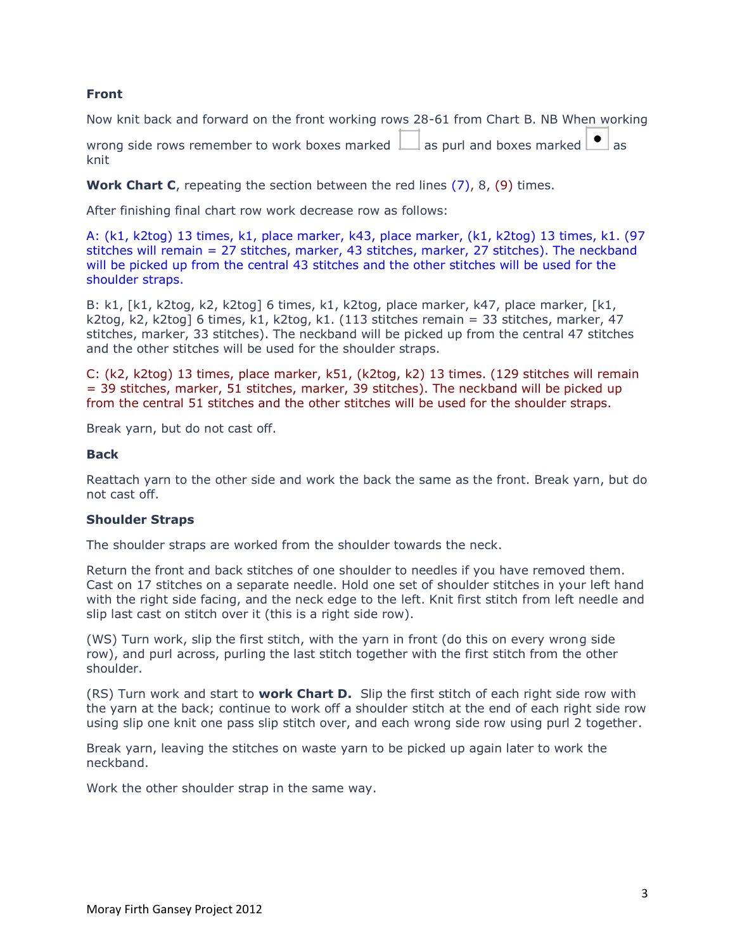#### **Front**

Now knit back and forward on the front working rows 28-61 from Chart B. NB When working

wrong side rows remember to work boxes marked  $\Box$  as purl and boxes marked  $\Box$  as knit

**Work Chart C**, repeating the section between the red lines (7), 8, (9) times.

After finishing final chart row work decrease row as follows:

A: (k1, k2tog) 13 times, k1, place marker, k43, place marker, (k1, k2tog) 13 times, k1. (97 stitches will remain = 27 stitches, marker, 43 stitches, marker, 27 stitches). The neckband will be picked up from the central 43 stitches and the other stitches will be used for the shoulder straps.

B: k1, [k1, k2tog, k2, k2tog] 6 times, k1, k2tog, place marker, k47, place marker, [k1, k2tog, k2, k2tog] 6 times, k1, k2tog, k1. (113 stitches remain = 33 stitches, marker, 47 stitches, marker, 33 stitches). The neckband will be picked up from the central 47 stitches and the other stitches will be used for the shoulder straps.

C: (k2, k2tog) 13 times, place marker, k51, (k2tog, k2) 13 times. (129 stitches will remain = 39 stitches, marker, 51 stitches, marker, 39 stitches). The neckband will be picked up from the central 51 stitches and the other stitches will be used for the shoulder straps.

Break yarn, but do not cast off.

#### **Back**

Reattach yarn to the other side and work the back the same as the front. Break yarn, but do not cast off.

#### **Shoulder Straps**

The shoulder straps are worked from the shoulder towards the neck.

Return the front and back stitches of one shoulder to needles if you have removed them. Cast on 17 stitches on a separate needle. Hold one set of shoulder stitches in your left hand with the right side facing, and the neck edge to the left. Knit first stitch from left needle and slip last cast on stitch over it (this is a right side row).

(WS) Turn work, slip the first stitch, with the yarn in front (do this on every wrong side row), and purl across, purling the last stitch together with the first stitch from the other shoulder.

(RS) Turn work and start to **work Chart D.** Slip the first stitch of each right side row with the yarn at the back; continue to work off a shoulder stitch at the end of each right side row using slip one knit one pass slip stitch over, and each wrong side row using purl 2 together.

Break yarn, leaving the stitches on waste yarn to be picked up again later to work the neckband.

Work the other shoulder strap in the same way.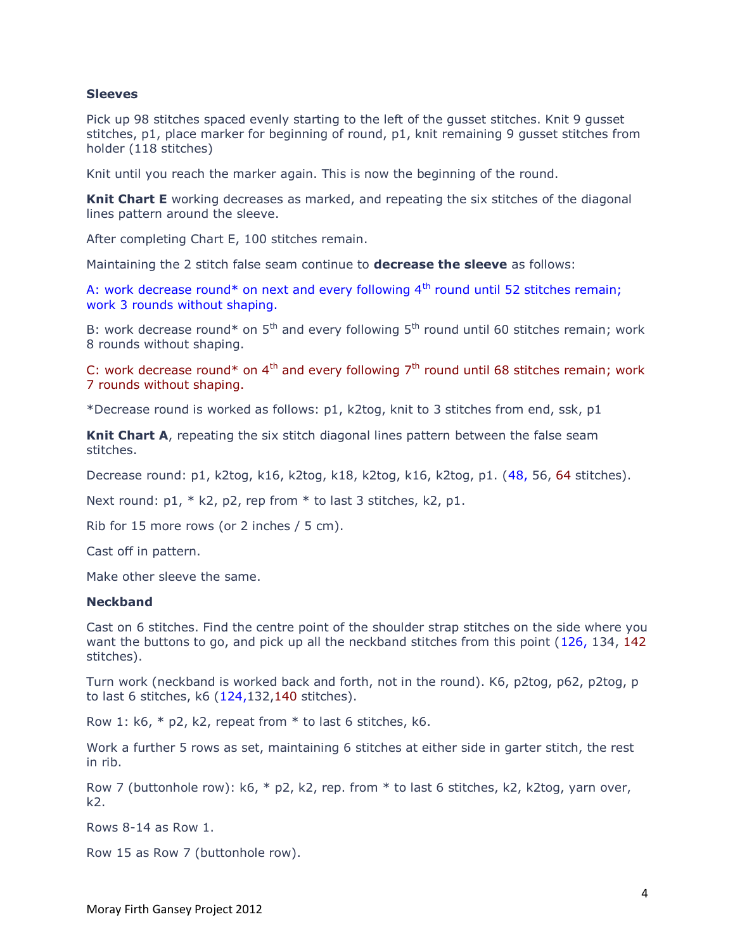#### **Sleeves**

Pick up 98 stitches spaced evenly starting to the left of the gusset stitches. Knit 9 gusset stitches, p1, place marker for beginning of round, p1, knit remaining 9 gusset stitches from holder (118 stitches)

Knit until you reach the marker again. This is now the beginning of the round.

**Knit Chart E** working decreases as marked, and repeating the six stitches of the diagonal lines pattern around the sleeve.

After completing Chart E, 100 stitches remain.

Maintaining the 2 stitch false seam continue to **decrease the sleeve** as follows:

A: work decrease round\* on next and every following  $4<sup>th</sup>$  round until 52 stitches remain; work 3 rounds without shaping.

B: work decrease round\* on  $5<sup>th</sup>$  and every following  $5<sup>th</sup>$  round until 60 stitches remain; work 8 rounds without shaping.

C: work decrease round\* on  $4<sup>th</sup>$  and every following  $7<sup>th</sup>$  round until 68 stitches remain; work 7 rounds without shaping.

\*Decrease round is worked as follows: p1, k2tog, knit to 3 stitches from end, ssk, p1

**Knit Chart A**, repeating the six stitch diagonal lines pattern between the false seam stitches.

Decrease round: p1, k2tog, k16, k2tog, k18, k2tog, k16, k2tog, p1. (48, 56, 64 stitches).

Next round: p1, \* k2, p2, rep from \* to last 3 stitches, k2, p1.

Rib for 15 more rows (or 2 inches / 5 cm).

Cast off in pattern.

Make other sleeve the same.

#### **Neckband**

Cast on 6 stitches. Find the centre point of the shoulder strap stitches on the side where you want the buttons to go, and pick up all the neckband stitches from this point (126, 134, 142) stitches).

Turn work (neckband is worked back and forth, not in the round). K6, p2tog, p62, p2tog, p to last 6 stitches,  $k6$  ( $124,132,140$  stitches).

Row 1:  $k6$ ,  $*$  p2, k2, repeat from  $*$  to last 6 stitches, k6.

Work a further 5 rows as set, maintaining 6 stitches at either side in garter stitch, the rest in rib.

Row 7 (buttonhole row):  $k6$ ,  $*$  p2, k2, rep. from  $*$  to last 6 stitches, k2, k2tog, yarn over, k2.

Rows 8-14 as Row 1.

Row 15 as Row 7 (buttonhole row).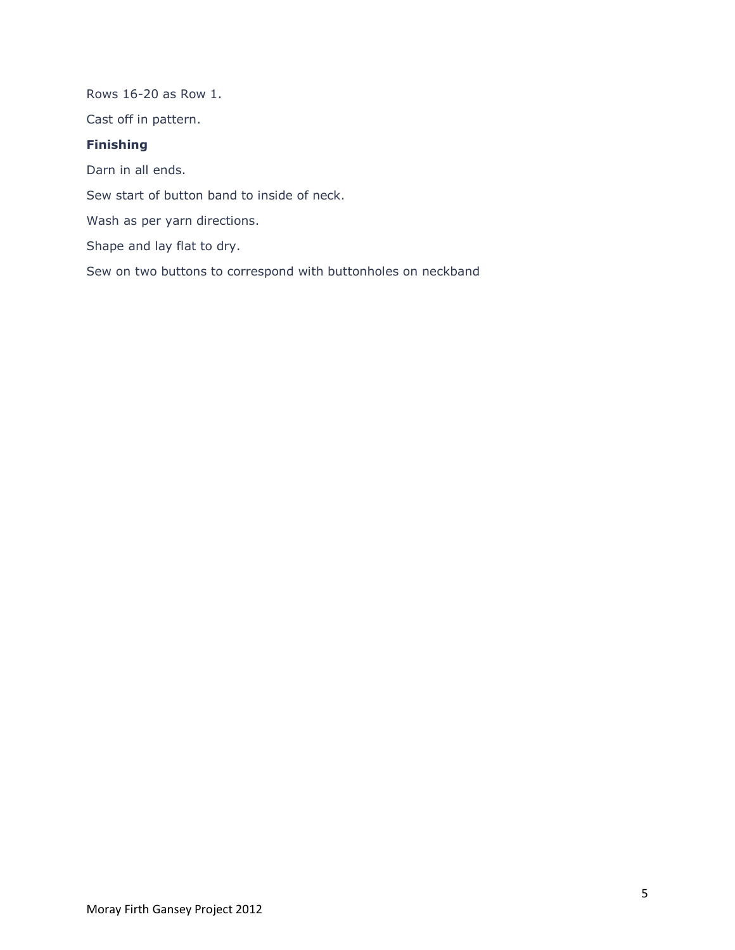Rows 16-20 as Row 1. Cast off in pattern. **Finishing** Darn in all ends. Sew start of button band to inside of neck. Wash as per yarn directions. Shape and lay flat to dry. Sew on two buttons to correspond with buttonholes on neckband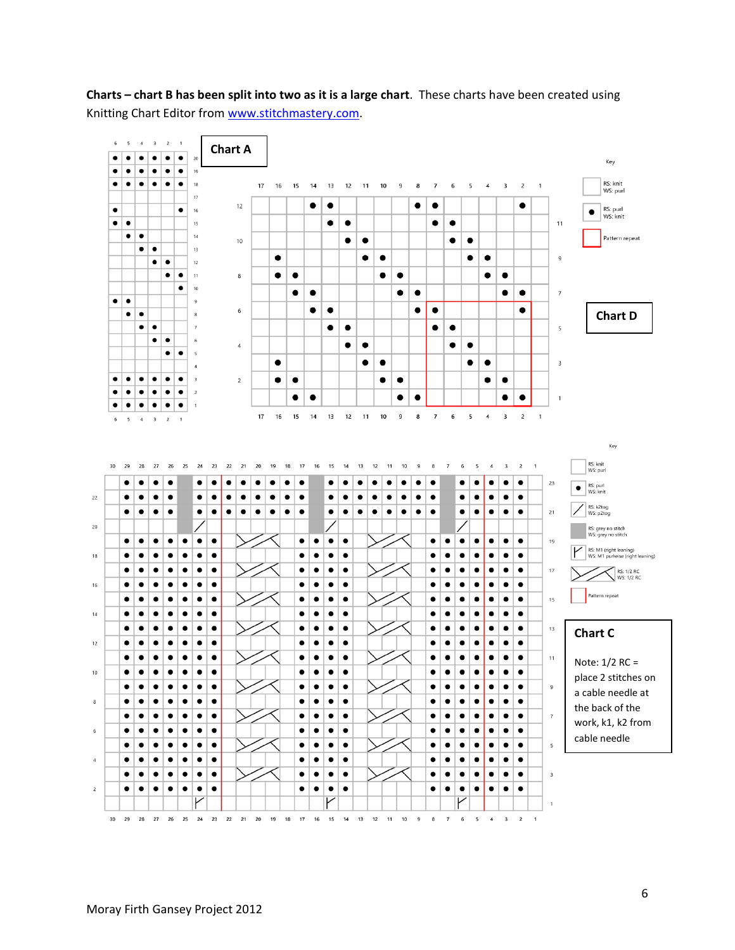

**Charts – chart B has been split into two as it is a large chart**. These charts have been created using Knitting Chart Editor from [www.stitchmastery.com.](http://www.stitchmastery.com/)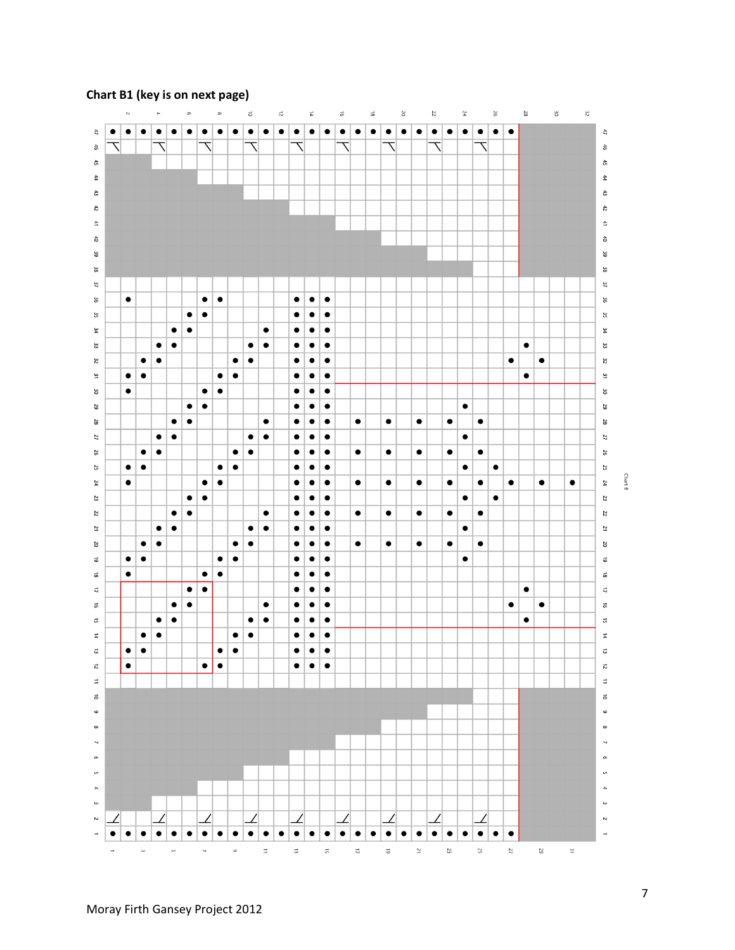

# **Chart B1 (key is on next page)**

Chart B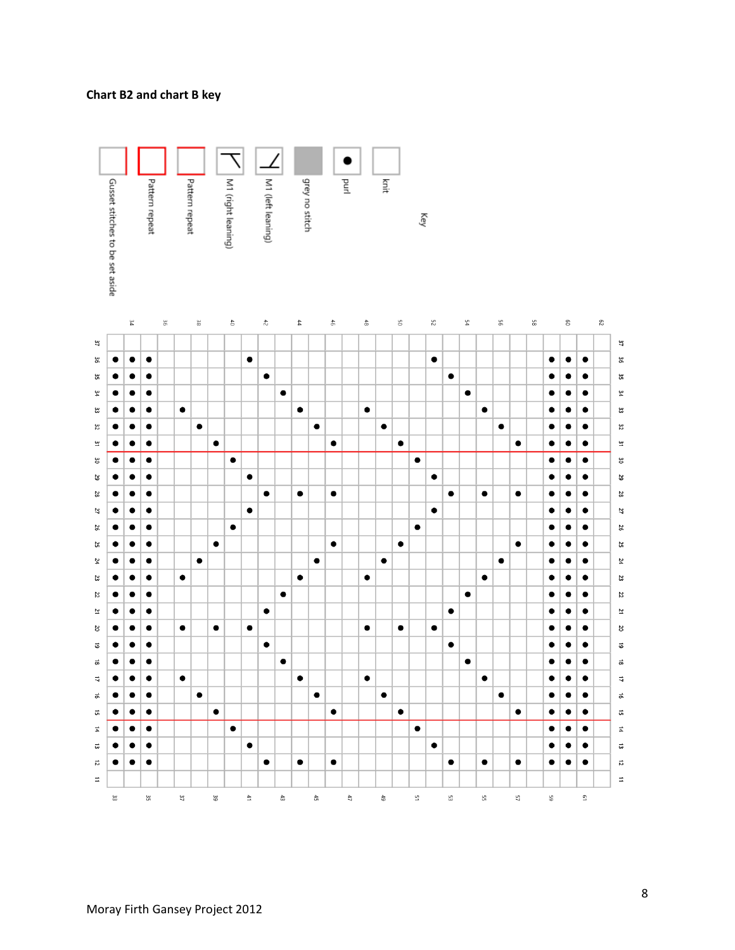#### **Chart B2 and chart B key**

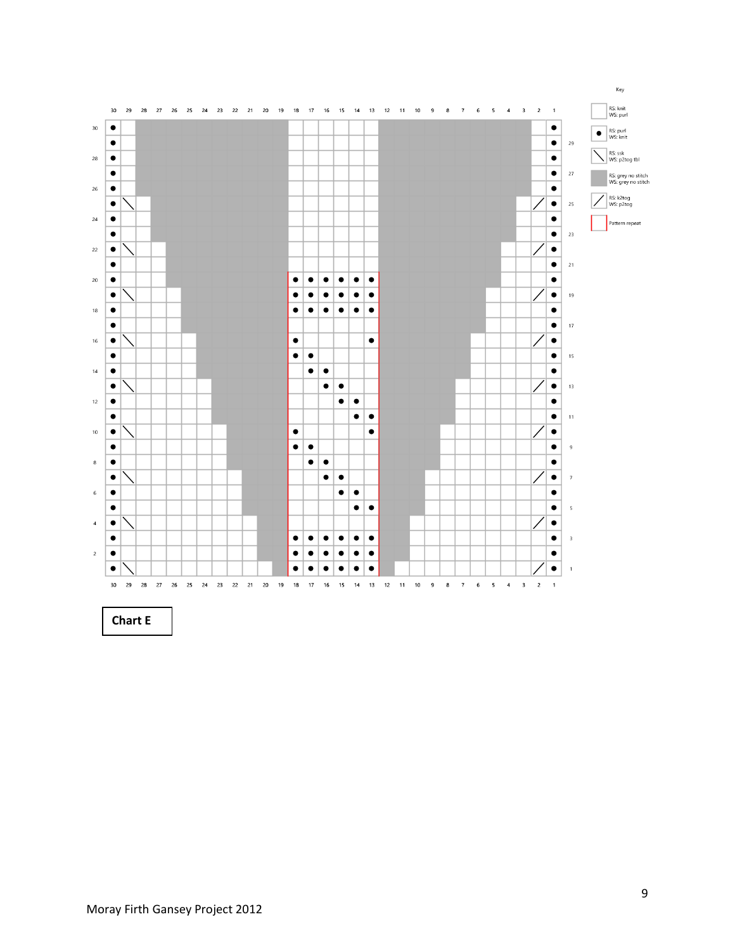

**Chart E**